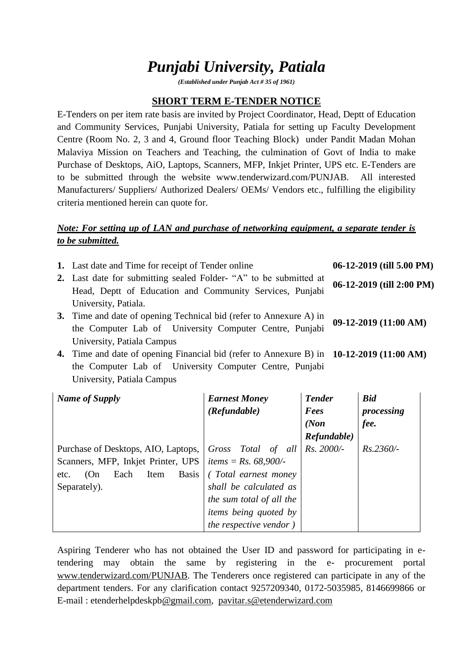# *Punjabi University, Patiala*

*(Established under Punjab Act # 35 of 1961)*

#### **SHORT TERM E-TENDER NOTICE**

E-Tenders on per item rate basis are invited by Project Coordinator, Head, Deptt of Education and Community Services, Punjabi University, Patiala for setting up Faculty Development Centre (Room No. 2, 3 and 4, Ground floor Teaching Block) under Pandit Madan Mohan Malaviya Mission on Teachers and Teaching, the culmination of Govt of India to make Purchase of Desktops, AiO, Laptops, Scanners, MFP, Inkjet Printer, UPS etc. E-Tenders are to be submitted through the website www.tenderwizard.com/PUNJAB. All interested Manufacturers/ Suppliers/ Authorized Dealers/ OEMs/ Vendors etc., fulfilling the eligibility criteria mentioned herein can quote for.

## *Note: For setting up of LAN and purchase of networking equipment, a separate tender is to be submitted.*

| 1. Last date and Time for receipt of Tender online                 | $06-12-2019$ (till 5.00 PM) |
|--------------------------------------------------------------------|-----------------------------|
| 2. Last date for submitting sealed Folder- "A" to be submitted at  | 06-12-2019 (till 2:00 PM)   |
| Head, Deptt of Education and Community Services, Punjabi           |                             |
| University, Patiala.                                               |                             |
| 3. Time and date of opening Technical bid (refer to Annexure A) in | 09-12-2019 (11:00 AM)       |
| the Computer Lab of University Computer Centre, Punjabi            |                             |
| University, Patiala Campus                                         |                             |

**4.** Time and date of opening Financial bid (refer to Annexure B) in **10-12-2019 (11:00 AM)** the Computer Lab of University Computer Centre, Punjabi University, Patiala Campus

| Name of Supply                              | <b>Earnest Money</b>           | <b>Tender</b> | <b>Bid</b>  |
|---------------------------------------------|--------------------------------|---------------|-------------|
|                                             | (Refundable)                   | Fees          | processing  |
|                                             |                                | (Non          | fee.        |
|                                             |                                | Refundable)   |             |
| Purchase of Desktops, AIO, Laptops,         | Gross Total of all             | Rs. 2000/-    | $Rs.2360/-$ |
| Scanners, MFP, Inkjet Printer, UPS          | <i>items</i> = $Rs. 68,900/-$  |               |             |
| <b>Basis</b><br>Each<br>Item<br>(On<br>etc. | (Total earnest money)          |               |             |
| Separately).                                | shall be calculated as         |               |             |
|                                             | the sum total of all the       |               |             |
|                                             | <i>items being quoted by</i>   |               |             |
|                                             | <i>the respective vendor</i> ) |               |             |

Aspiring Tenderer who has not obtained the User ID and password for participating in etendering may obtain the same by registering in the e- procurement portal [www.tenderwizard.com/PUNJAB.](http://www.tenderwizard.com/PUNJAB) The Tenderers once registered can participate in any of the department tenders. For any clarification contact 9257209340, 0172-5035985, 8146699866 or E-mail : etenderhelpdeskp[b@gmail.com,](mailto:@gmail.com) [pavitar.s@etenderwizard.com](mailto:pavitar.s@etenderwizard.com)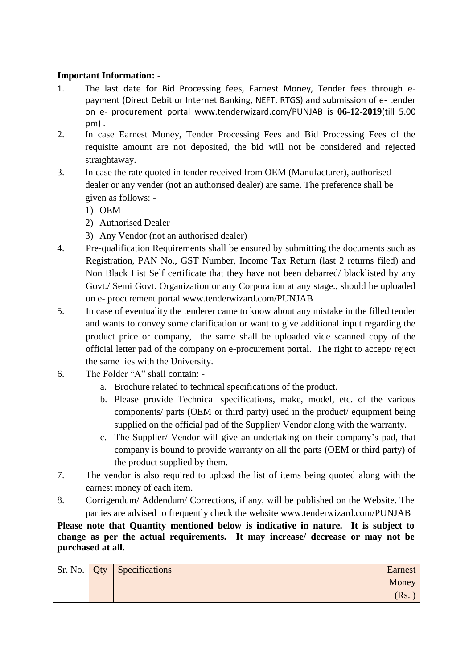### **Important Information: -**

- 1. The last date for Bid Processing fees, Earnest Money, Tender fees through epayment (Direct Debit or Internet Banking, NEFT, RTGS) and submission of e- tender on e- procurement portal www.tenderwizard.com/PUNJAB is **06-12-2019**(till 5.00 pm) .
- 2. In case Earnest Money, Tender Processing Fees and Bid Processing Fees of the requisite amount are not deposited, the bid will not be considered and rejected straightaway.
- 3. In case the rate quoted in tender received from OEM (Manufacturer), authorised dealer or any vender (not an authorised dealer) are same. The preference shall be given as follows: -
	- 1) OEM
	- 2) Authorised Dealer
	- 3) Any Vendor (not an authorised dealer)
- 4. Pre-qualification Requirements shall be ensured by submitting the documents such as Registration, PAN No., GST Number, Income Tax Return (last 2 returns filed) and Non Black List Self certificate that they have not been debarred/ blacklisted by any Govt./ Semi Govt. Organization or any Corporation at any stage., should be uploaded on e- procurement portal [www.tenderwizard.com/PUNJAB](http://www.tenderwizard.com/PUNJAB)
- 5. In case of eventuality the tenderer came to know about any mistake in the filled tender and wants to convey some clarification or want to give additional input regarding the product price or company, the same shall be uploaded vide scanned copy of the official letter pad of the company on e-procurement portal. The right to accept/ reject the same lies with the University.
- 6. The Folder "A" shall contain:
	- a. Brochure related to technical specifications of the product.
	- b. Please provide Technical specifications, make, model, etc. of the various components/ parts (OEM or third party) used in the product/ equipment being supplied on the official pad of the Supplier/ Vendor along with the warranty.
	- c. The Supplier/ Vendor will give an undertaking on their company's pad, that company is bound to provide warranty on all the parts (OEM or third party) of the product supplied by them.
- 7. The vendor is also required to upload the list of items being quoted along with the earnest money of each item.
- 8. Corrigendum/ Addendum/ Corrections, if any, will be published on the Website. The parties are advised to frequently check the website [www.tenderwizard.com/PUNJAB](http://www.tenderwizard.com/PUNJAB)

**Please note that Quantity mentioned below is indicative in nature. It is subject to change as per the actual requirements. It may increase/ decrease or may not be purchased at all.**

| Sr. No. Qty | <b>Specifications</b> | Earnest |
|-------------|-----------------------|---------|
|             |                       | Money   |
|             |                       | Rs.     |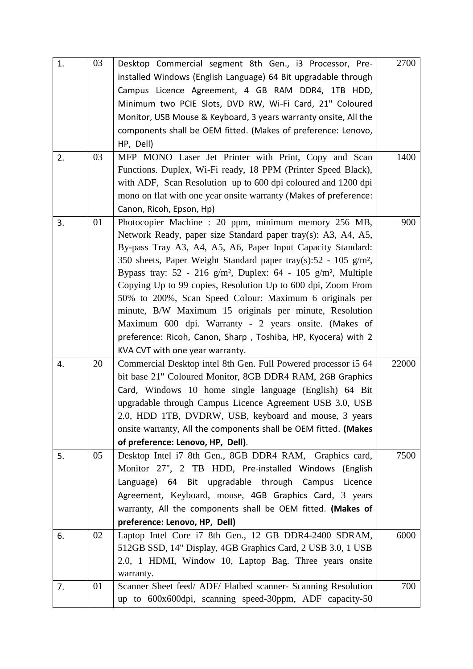| 1. | 03 | Desktop Commercial segment 8th Gen., i3 Processor, Pre-                                   | 2700  |
|----|----|-------------------------------------------------------------------------------------------|-------|
|    |    | installed Windows (English Language) 64 Bit upgradable through                            |       |
|    |    | Campus Licence Agreement, 4 GB RAM DDR4, 1TB HDD,                                         |       |
|    |    | Minimum two PCIE Slots, DVD RW, Wi-Fi Card, 21" Coloured                                  |       |
|    |    | Monitor, USB Mouse & Keyboard, 3 years warranty onsite, All the                           |       |
|    |    | components shall be OEM fitted. (Makes of preference: Lenovo,                             |       |
|    |    | HP, Dell)                                                                                 |       |
| 2. | 03 | MFP MONO Laser Jet Printer with Print, Copy and Scan                                      | 1400  |
|    |    | Functions. Duplex, Wi-Fi ready, 18 PPM (Printer Speed Black),                             |       |
|    |    | with ADF, Scan Resolution up to 600 dpi coloured and 1200 dpi                             |       |
|    |    | mono on flat with one year onsite warranty (Makes of preference:                          |       |
|    |    | Canon, Ricoh, Epson, Hp)                                                                  |       |
| 3. | 01 | Photocopier Machine : 20 ppm, minimum memory 256 MB,                                      | 900   |
|    |    | Network Ready, paper size Standard paper tray(s): A3, A4, A5,                             |       |
|    |    | By-pass Tray A3, A4, A5, A6, Paper Input Capacity Standard:                               |       |
|    |    | 350 sheets, Paper Weight Standard paper tray(s):52 - 105 g/m <sup>2</sup> ,               |       |
|    |    | Bypass tray: $52 - 216$ g/m <sup>2</sup> , Duplex: $64 - 105$ g/m <sup>2</sup> , Multiple |       |
|    |    | Copying Up to 99 copies, Resolution Up to 600 dpi, Zoom From                              |       |
|    |    | 50% to 200%, Scan Speed Colour: Maximum 6 originals per                                   |       |
|    |    | minute, B/W Maximum 15 originals per minute, Resolution                                   |       |
|    |    | Maximum 600 dpi. Warranty - 2 years onsite. (Makes of                                     |       |
|    |    | preference: Ricoh, Canon, Sharp, Toshiba, HP, Kyocera) with 2                             |       |
|    |    | KVA CVT with one year warranty.                                                           |       |
| 4. | 20 | Commercial Desktop intel 8th Gen. Full Powered processor i5 64                            | 22000 |
|    |    | bit base 21" Coloured Monitor, 8GB DDR4 RAM, 2GB Graphics                                 |       |
|    |    | Card, Windows 10 home single language (English) 64 Bit                                    |       |
|    |    | upgradable through Campus Licence Agreement USB 3.0, USB                                  |       |
|    |    | 2.0, HDD 1TB, DVDRW, USB, keyboard and mouse, 3 years                                     |       |
|    |    | onsite warranty, All the components shall be OEM fitted. (Makes                           |       |
|    |    | of preference: Lenovo, HP, Dell).                                                         |       |
| 5. | 05 | Desktop Intel i7 8th Gen., 8GB DDR4 RAM, Graphics card,                                   | 7500  |
|    |    | Monitor 27", 2 TB HDD, Pre-installed Windows (English                                     |       |
|    |    | Language) 64 Bit upgradable through Campus<br>Licence                                     |       |
|    |    | Agreement, Keyboard, mouse, 4GB Graphics Card, 3 years                                    |       |
|    |    | warranty, All the components shall be OEM fitted. (Makes of                               |       |
|    |    | preference: Lenovo, HP, Dell)                                                             |       |
| 6. | 02 | Laptop Intel Core i7 8th Gen., 12 GB DDR4-2400 SDRAM,                                     | 6000  |
|    |    | 512GB SSD, 14" Display, 4GB Graphics Card, 2 USB 3.0, 1 USB                               |       |
|    |    | 2.0, 1 HDMI, Window 10, Laptop Bag. Three years onsite                                    |       |
|    |    | warranty.                                                                                 |       |
| 7. | 01 | Scanner Sheet feed/ ADF/ Flatbed scanner- Scanning Resolution                             | 700   |
|    |    | up to 600x600dpi, scanning speed-30ppm, ADF capacity-50                                   |       |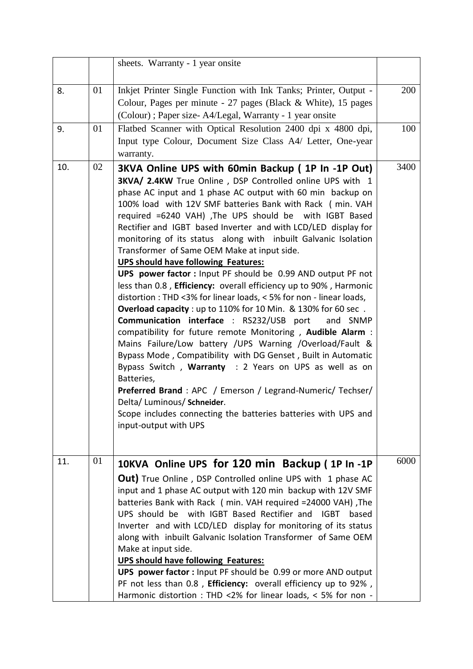|     |    | sheets. Warranty - 1 year onsite                                                                                                                                                                                                                                                                                                                                                                                                                                                                                                                                                                                                                                                                                                                                                                                                                                                                                                                                                                                                                                                                                                                                                                                                                                                                                                              |      |
|-----|----|-----------------------------------------------------------------------------------------------------------------------------------------------------------------------------------------------------------------------------------------------------------------------------------------------------------------------------------------------------------------------------------------------------------------------------------------------------------------------------------------------------------------------------------------------------------------------------------------------------------------------------------------------------------------------------------------------------------------------------------------------------------------------------------------------------------------------------------------------------------------------------------------------------------------------------------------------------------------------------------------------------------------------------------------------------------------------------------------------------------------------------------------------------------------------------------------------------------------------------------------------------------------------------------------------------------------------------------------------|------|
| 8.  | 01 | Inkjet Printer Single Function with Ink Tanks; Printer, Output -<br>Colour, Pages per minute - 27 pages (Black & White), 15 pages<br>(Colour); Paper size-A4/Legal, Warranty - 1 year onsite                                                                                                                                                                                                                                                                                                                                                                                                                                                                                                                                                                                                                                                                                                                                                                                                                                                                                                                                                                                                                                                                                                                                                  | 200  |
| 9.  | 01 | Flatbed Scanner with Optical Resolution 2400 dpi x 4800 dpi,<br>Input type Colour, Document Size Class A4/ Letter, One-year<br>warranty.                                                                                                                                                                                                                                                                                                                                                                                                                                                                                                                                                                                                                                                                                                                                                                                                                                                                                                                                                                                                                                                                                                                                                                                                      | 100  |
| 10. | 02 | 3KVA Online UPS with 60min Backup (1P In -1P Out)<br>3KVA/ 2.4KW True Online, DSP Controlled online UPS with 1<br>phase AC input and 1 phase AC output with 60 min backup on<br>100% load with 12V SMF batteries Bank with Rack (min. VAH<br>required =6240 VAH) , The UPS should be with IGBT Based<br>Rectifier and IGBT based Inverter and with LCD/LED display for<br>monitoring of its status along with inbuilt Galvanic Isolation<br>Transformer of Same OEM Make at input side.<br><b>UPS should have following Features:</b><br>UPS power factor : Input PF should be 0.99 AND output PF not<br>less than 0.8, Efficiency: overall efficiency up to 90%, Harmonic<br>distortion : THD <3% for linear loads, < 5% for non - linear loads,<br>Overload capacity : up to 110% for 10 Min. & 130% for 60 sec.<br><b>Communication interface</b> : RS232/USB port<br>and SNMP<br>compatibility for future remote Monitoring, Audible Alarm :<br>Mains Failure/Low battery /UPS Warning /Overload/Fault &<br>Bypass Mode, Compatibility with DG Genset, Built in Automatic<br>Bypass Switch, Warranty : 2 Years on UPS as well as on<br>Batteries,<br>Preferred Brand: APC / Emerson / Legrand-Numeric/ Techser/<br>Delta/ Luminous/ Schneider.<br>Scope includes connecting the batteries batteries with UPS and<br>input-output with UPS | 3400 |
| 11. | 01 | 10KVA Online UPS for 120 min Backup (1P In -1P<br>Out) True Online, DSP Controlled online UPS with 1 phase AC<br>input and 1 phase AC output with 120 min backup with 12V SMF<br>batteries Bank with Rack ( min. VAH required = 24000 VAH) , The<br>UPS should be with IGBT Based Rectifier and IGBT based<br>Inverter and with LCD/LED display for monitoring of its status<br>along with inbuilt Galvanic Isolation Transformer of Same OEM<br>Make at input side.<br><b>UPS should have following Features:</b><br>UPS power factor: Input PF should be 0.99 or more AND output                                                                                                                                                                                                                                                                                                                                                                                                                                                                                                                                                                                                                                                                                                                                                            | 6000 |
|     |    | PF not less than 0.8, Efficiency: overall efficiency up to 92%,<br>Harmonic distortion : THD <2% for linear loads, < 5% for non -                                                                                                                                                                                                                                                                                                                                                                                                                                                                                                                                                                                                                                                                                                                                                                                                                                                                                                                                                                                                                                                                                                                                                                                                             |      |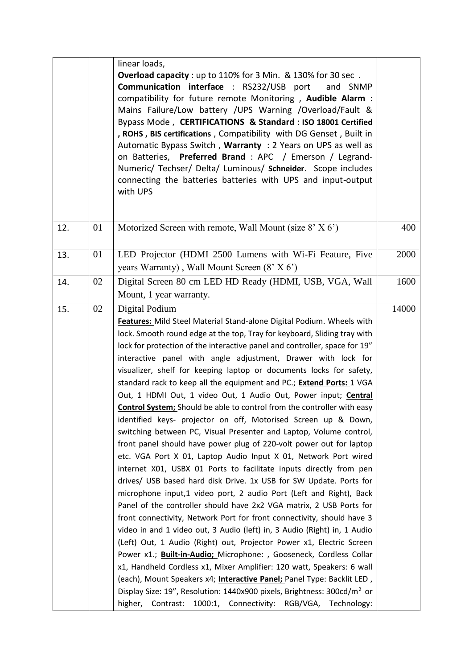|     |    | linear loads,<br><b>Overload capacity</b> : up to 110% for 3 Min. & 130% for 30 sec.<br><b>Communication interface</b> : RS232/USB port<br>and SNMP<br>compatibility for future remote Monitoring, Audible Alarm :<br>Mains Failure/Low battery /UPS Warning /Overload/Fault &<br>Bypass Mode, CERTIFICATIONS & Standard : ISO 18001 Certified<br>, ROHS, BIS certifications, Compatibility with DG Genset, Built in<br>Automatic Bypass Switch, Warranty: 2 Years on UPS as well as<br>on Batteries, <b>Preferred Brand</b> : APC / Emerson / Legrand-<br>Numeric/ Techser/ Delta/ Luminous/ Schneider. Scope includes<br>connecting the batteries batteries with UPS and input-output<br>with UPS                                                                                                                                                                                                                                                                                                                                                                                                                                                                                                                                                                                                                                                                                                                                                                                                                                                                                                                                                                                                                                                                                                                 |       |
|-----|----|---------------------------------------------------------------------------------------------------------------------------------------------------------------------------------------------------------------------------------------------------------------------------------------------------------------------------------------------------------------------------------------------------------------------------------------------------------------------------------------------------------------------------------------------------------------------------------------------------------------------------------------------------------------------------------------------------------------------------------------------------------------------------------------------------------------------------------------------------------------------------------------------------------------------------------------------------------------------------------------------------------------------------------------------------------------------------------------------------------------------------------------------------------------------------------------------------------------------------------------------------------------------------------------------------------------------------------------------------------------------------------------------------------------------------------------------------------------------------------------------------------------------------------------------------------------------------------------------------------------------------------------------------------------------------------------------------------------------------------------------------------------------------------------------------------------------|-------|
| 12. | 01 | Motorized Screen with remote, Wall Mount (size $8'$ X 6')                                                                                                                                                                                                                                                                                                                                                                                                                                                                                                                                                                                                                                                                                                                                                                                                                                                                                                                                                                                                                                                                                                                                                                                                                                                                                                                                                                                                                                                                                                                                                                                                                                                                                                                                                           | 400   |
| 13. | 01 | LED Projector (HDMI 2500 Lumens with Wi-Fi Feature, Five<br>years Warranty), Wall Mount Screen $(8' \times 6')$                                                                                                                                                                                                                                                                                                                                                                                                                                                                                                                                                                                                                                                                                                                                                                                                                                                                                                                                                                                                                                                                                                                                                                                                                                                                                                                                                                                                                                                                                                                                                                                                                                                                                                     | 2000  |
| 14. | 02 | Digital Screen 80 cm LED HD Ready (HDMI, USB, VGA, Wall<br>Mount, 1 year warranty.                                                                                                                                                                                                                                                                                                                                                                                                                                                                                                                                                                                                                                                                                                                                                                                                                                                                                                                                                                                                                                                                                                                                                                                                                                                                                                                                                                                                                                                                                                                                                                                                                                                                                                                                  | 1600  |
| 15. | 02 | Digital Podium<br>Features: Mild Steel Material Stand-alone Digital Podium. Wheels with<br>lock. Smooth round edge at the top, Tray for keyboard, Sliding tray with<br>lock for protection of the interactive panel and controller, space for 19"<br>interactive panel with angle adjustment, Drawer with lock for<br>visualizer, shelf for keeping laptop or documents locks for safety,<br>standard rack to keep all the equipment and PC.; Extend Ports: 1 VGA<br>Out, 1 HDMI Out, 1 video Out, 1 Audio Out, Power input; Central<br><b>Control System;</b> Should be able to control from the controller with easy<br>identified keys- projector on off, Motorised Screen up & Down,<br>switching between PC, Visual Presenter and Laptop, Volume control,<br>front panel should have power plug of 220-volt power out for laptop<br>etc. VGA Port X 01, Laptop Audio Input X 01, Network Port wired<br>internet X01, USBX 01 Ports to facilitate inputs directly from pen<br>drives/ USB based hard disk Drive. 1x USB for SW Update. Ports for<br>microphone input,1 video port, 2 audio Port (Left and Right), Back<br>Panel of the controller should have 2x2 VGA matrix, 2 USB Ports for<br>front connectivity, Network Port for front connectivity, should have 3<br>video in and 1 video out, 3 Audio (left) in, 3 Audio (Right) in, 1 Audio<br>(Left) Out, 1 Audio (Right) out, Projector Power x1, Electric Screen<br>Power x1.; Built-in-Audio; Microphone: , Gooseneck, Cordless Collar<br>x1, Handheld Cordless x1, Mixer Amplifier: 120 watt, Speakers: 6 wall<br>(each), Mount Speakers x4; Interactive Panel; Panel Type: Backlit LED,<br>Display Size: 19", Resolution: 1440x900 pixels, Brightness: 300cd/m <sup>2</sup> or<br>1000:1, Connectivity: RGB/VGA, Technology:<br>higher, Contrast: | 14000 |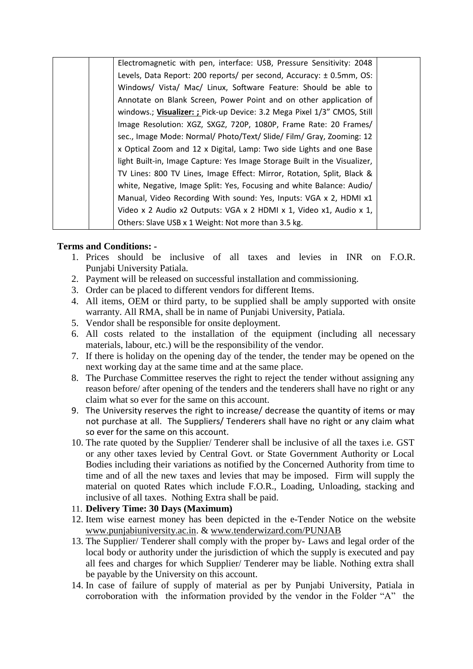| Electromagnetic with pen, interface: USB, Pressure Sensitivity: 2048      |  |
|---------------------------------------------------------------------------|--|
| Levels, Data Report: 200 reports/ per second, Accuracy: ± 0.5mm, OS:      |  |
| Windows/ Vista/ Mac/ Linux, Software Feature: Should be able to           |  |
| Annotate on Blank Screen, Power Point and on other application of         |  |
| windows.; Visualizer: ; Pick-up Device: 3.2 Mega Pixel 1/3" CMOS, Still   |  |
| Image Resolution: XGZ, SXGZ, 720P, 1080P, Frame Rate: 20 Frames/          |  |
| sec., Image Mode: Normal/ Photo/Text/ Slide/ Film/ Gray, Zooming: 12      |  |
| x Optical Zoom and 12 x Digital, Lamp: Two side Lights and one Base       |  |
| light Built-in, Image Capture: Yes Image Storage Built in the Visualizer, |  |
| TV Lines: 800 TV Lines, Image Effect: Mirror, Rotation, Split, Black &    |  |
| white, Negative, Image Split: Yes, Focusing and white Balance: Audio/     |  |
| Manual, Video Recording With sound: Yes, Inputs: VGA x 2, HDMI x1         |  |
| Video x 2 Audio x2 Outputs: VGA x 2 HDMI x 1, Video x1, Audio x 1,        |  |
| Others: Slave USB x 1 Weight: Not more than 3.5 kg.                       |  |

#### **Terms and Conditions: -**

- 1. Prices should be inclusive of all taxes and levies in INR on F.O.R. Punjabi University Patiala.
- 2. Payment will be released on successful installation and commissioning.
- 3. Order can be placed to different vendors for different Items.
- 4. All items, OEM or third party, to be supplied shall be amply supported with onsite warranty. All RMA, shall be in name of Punjabi University, Patiala.
- 5. Vendor shall be responsible for onsite deployment.
- 6. All costs related to the installation of the equipment (including all necessary materials, labour, etc.) will be the responsibility of the vendor.
- 7. If there is holiday on the opening day of the tender, the tender may be opened on the next working day at the same time and at the same place.
- 8. The Purchase Committee reserves the right to reject the tender without assigning any reason before/ after opening of the tenders and the tenderers shall have no right or any claim what so ever for the same on this account.
- 9. The University reserves the right to increase/ decrease the quantity of items or may not purchase at all. The Suppliers/ Tenderers shall have no right or any claim what so ever for the same on this account.
- 10. The rate quoted by the Supplier/ Tenderer shall be inclusive of all the taxes i.e. GST or any other taxes levied by Central Govt. or State Government Authority or Local Bodies including their variations as notified by the Concerned Authority from time to time and of all the new taxes and levies that may be imposed. Firm will supply the material on quoted Rates which include F.O.R., Loading, Unloading, stacking and inclusive of all taxes. Nothing Extra shall be paid.

#### 11. **Delivery Time: 30 Days (Maximum)**

- 12. Item wise earnest money has been depicted in the e-Tender Notice on the website [www.punjabiuniversity.ac.in.](http://www.punjabiuniversity.ac.in/) & [www.tenderwizard.com/PUNJAB](http://www.tenderwizard.com/PUNJAB)
- 13. The Supplier/ Tenderer shall comply with the proper by- Laws and legal order of the local body or authority under the jurisdiction of which the supply is executed and pay all fees and charges for which Supplier/ Tenderer may be liable. Nothing extra shall be payable by the University on this account.
- 14. In case of failure of supply of material as per by Punjabi University, Patiala in corroboration with the information provided by the vendor in the Folder "A" the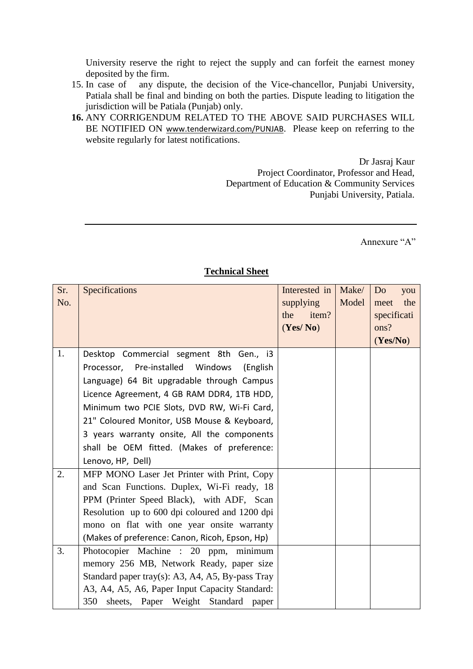University reserve the right to reject the supply and can forfeit the earnest money deposited by the firm.

- 15. In case of any dispute, the decision of the Vice-chancellor, Punjabi University, Patiala shall be final and binding on both the parties. Dispute leading to litigation the jurisdiction will be Patiala (Punjab) only.
- **16.** ANY CORRIGENDUM RELATED TO THE ABOVE SAID PURCHASES WILL BE NOTIFIED ON [www.tenderwizard.com/PUNJAB](http://www.tenderwizard.com/PUNJAB). Please keep on referring to the website regularly for latest notifications.

Dr Jasraj Kaur Project Coordinator, Professor and Head, Department of Education & Community Services Punjabi University, Patiala.

Annexure "A"

| Sr.<br>No. | Specifications                                                                               | Interested in<br>supplying<br>item?<br>the<br>(Yes/No) | Make/<br>Model | Do<br>you<br>the<br>meet<br>specificati<br>ons?<br>(Yes/No) |
|------------|----------------------------------------------------------------------------------------------|--------------------------------------------------------|----------------|-------------------------------------------------------------|
| 1.         | Desktop Commercial segment 8th Gen., i3<br>Processor, Pre-installed Windows<br>(English      |                                                        |                |                                                             |
|            | Language) 64 Bit upgradable through Campus                                                   |                                                        |                |                                                             |
|            | Licence Agreement, 4 GB RAM DDR4, 1TB HDD,                                                   |                                                        |                |                                                             |
|            | Minimum two PCIE Slots, DVD RW, Wi-Fi Card,                                                  |                                                        |                |                                                             |
|            | 21" Coloured Monitor, USB Mouse & Keyboard,                                                  |                                                        |                |                                                             |
|            | 3 years warranty onsite, All the components                                                  |                                                        |                |                                                             |
|            | shall be OEM fitted. (Makes of preference:                                                   |                                                        |                |                                                             |
|            | Lenovo, HP, Dell)                                                                            |                                                        |                |                                                             |
| 2.         | MFP MONO Laser Jet Printer with Print, Copy                                                  |                                                        |                |                                                             |
|            | and Scan Functions. Duplex, Wi-Fi ready, 18                                                  |                                                        |                |                                                             |
|            | PPM (Printer Speed Black), with ADF, Scan                                                    |                                                        |                |                                                             |
|            | Resolution up to 600 dpi coloured and 1200 dpi                                               |                                                        |                |                                                             |
|            | mono on flat with one year onsite warranty                                                   |                                                        |                |                                                             |
|            | (Makes of preference: Canon, Ricoh, Epson, Hp)                                               |                                                        |                |                                                             |
| 3.         | Photocopier Machine : 20 ppm, minimum                                                        |                                                        |                |                                                             |
|            | memory 256 MB, Network Ready, paper size<br>Standard paper tray(s): A3, A4, A5, By-pass Tray |                                                        |                |                                                             |
|            | A3, A4, A5, A6, Paper Input Capacity Standard:                                               |                                                        |                |                                                             |
|            | 350 sheets, Paper Weight Standard paper                                                      |                                                        |                |                                                             |

#### **Technical Sheet**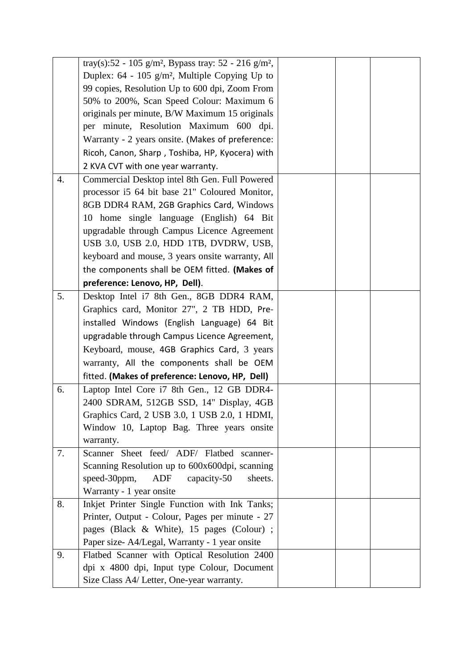|                  | tray(s):52 - 105 g/m <sup>2</sup> , Bypass tray: 52 - 216 g/m <sup>2</sup> , |  |  |
|------------------|------------------------------------------------------------------------------|--|--|
|                  | Duplex: $64 - 105$ g/m <sup>2</sup> , Multiple Copying Up to                 |  |  |
|                  | 99 copies, Resolution Up to 600 dpi, Zoom From                               |  |  |
|                  | 50% to 200%, Scan Speed Colour: Maximum 6                                    |  |  |
|                  | originals per minute, B/W Maximum 15 originals                               |  |  |
|                  | per minute, Resolution Maximum 600 dpi.                                      |  |  |
|                  | Warranty - 2 years onsite. (Makes of preference:                             |  |  |
|                  | Ricoh, Canon, Sharp, Toshiba, HP, Kyocera) with                              |  |  |
|                  | 2 KVA CVT with one year warranty.                                            |  |  |
| $\overline{4}$ . | Commercial Desktop intel 8th Gen. Full Powered                               |  |  |
|                  | processor i5 64 bit base 21" Coloured Monitor,                               |  |  |
|                  | 8GB DDR4 RAM, 2GB Graphics Card, Windows                                     |  |  |
|                  | 10 home single language (English) 64 Bit                                     |  |  |
|                  | upgradable through Campus Licence Agreement                                  |  |  |
|                  | USB 3.0, USB 2.0, HDD 1TB, DVDRW, USB,                                       |  |  |
|                  | keyboard and mouse, 3 years onsite warranty, All                             |  |  |
|                  | the components shall be OEM fitted. (Makes of                                |  |  |
|                  | preference: Lenovo, HP, Dell).                                               |  |  |
| 5.               | Desktop Intel i7 8th Gen., 8GB DDR4 RAM,                                     |  |  |
|                  | Graphics card, Monitor 27", 2 TB HDD, Pre-                                   |  |  |
|                  | installed Windows (English Language) 64 Bit                                  |  |  |
|                  | upgradable through Campus Licence Agreement,                                 |  |  |
|                  | Keyboard, mouse, 4GB Graphics Card, 3 years                                  |  |  |
|                  | warranty, All the components shall be OEM                                    |  |  |
|                  | fitted. (Makes of preference: Lenovo, HP, Dell)                              |  |  |
| 6.               | Laptop Intel Core i7 8th Gen., 12 GB DDR4-                                   |  |  |
|                  | 2400 SDRAM, 512GB SSD, 14" Display, 4GB                                      |  |  |
|                  | Graphics Card, 2 USB 3.0, 1 USB 2.0, 1 HDMI,                                 |  |  |
|                  | Window 10, Laptop Bag. Three years onsite                                    |  |  |
|                  | warranty.                                                                    |  |  |
| 7.               | Scanner Sheet feed/ ADF/ Flatbed scanner-                                    |  |  |
|                  | Scanning Resolution up to 600x600dpi, scanning                               |  |  |
|                  | speed-30ppm,<br>ADF<br>capacity-50<br>sheets.                                |  |  |
|                  | Warranty - 1 year onsite                                                     |  |  |
| 8.               | Inkjet Printer Single Function with Ink Tanks;                               |  |  |
|                  | Printer, Output - Colour, Pages per minute - 27                              |  |  |
|                  | pages (Black & White), 15 pages (Colour) ;                                   |  |  |
|                  | Paper size-A4/Legal, Warranty - 1 year onsite                                |  |  |
| 9.               | Flatbed Scanner with Optical Resolution 2400                                 |  |  |
|                  | dpi x 4800 dpi, Input type Colour, Document                                  |  |  |
|                  | Size Class A4/ Letter, One-year warranty.                                    |  |  |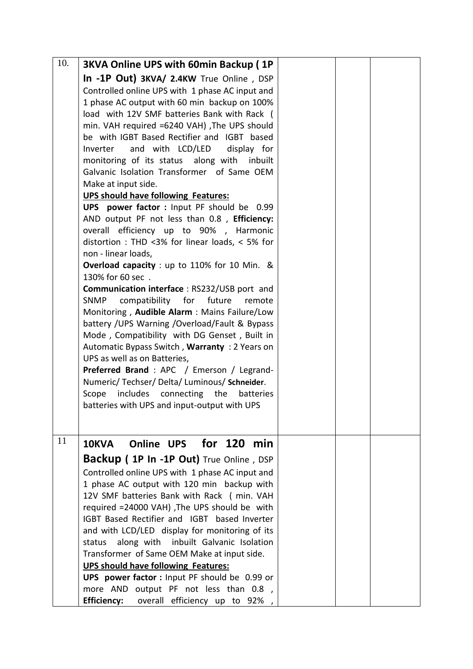| 10. | <b>3KVA Online UPS with 60min Backup (1P</b>                                              |  |  |
|-----|-------------------------------------------------------------------------------------------|--|--|
|     | In -1P Out) 3KVA/ 2.4KW True Online, DSP                                                  |  |  |
|     | Controlled online UPS with 1 phase AC input and                                           |  |  |
|     | 1 phase AC output with 60 min backup on 100%                                              |  |  |
|     | load with 12V SMF batteries Bank with Rack (                                              |  |  |
|     | min. VAH required =6240 VAH) , The UPS should                                             |  |  |
|     | be with IGBT Based Rectifier and IGBT based                                               |  |  |
|     | and with LCD/LED<br>display for<br>Inverter                                               |  |  |
|     | monitoring of its status along with<br>inbuilt                                            |  |  |
|     | Galvanic Isolation Transformer of Same OEM                                                |  |  |
|     | Make at input side.                                                                       |  |  |
|     | <b>UPS should have following Features:</b><br>UPS power factor : Input PF should be 0.99  |  |  |
|     | AND output PF not less than 0.8, Efficiency:                                              |  |  |
|     | overall efficiency up to 90%, Harmonic                                                    |  |  |
|     | distortion : THD <3% for linear loads, < 5% for                                           |  |  |
|     | non - linear loads,                                                                       |  |  |
|     | Overload capacity : up to 110% for 10 Min. &                                              |  |  |
|     | 130% for 60 sec.                                                                          |  |  |
|     | <b>Communication interface: RS232/USB port and</b>                                        |  |  |
|     | compatibility for future<br>SNMP<br>remote                                                |  |  |
|     | Monitoring, Audible Alarm: Mains Failure/Low                                              |  |  |
|     | battery / UPS Warning / Overload/Fault & Bypass                                           |  |  |
|     | Mode, Compatibility with DG Genset, Built in                                              |  |  |
|     | Automatic Bypass Switch, Warranty: 2 Years on<br>UPS as well as on Batteries,             |  |  |
|     | Preferred Brand: APC / Emerson / Legrand-                                                 |  |  |
|     | Numeric/Techser/Delta/Luminous/Schneider.                                                 |  |  |
|     | includes connecting the<br>Scope<br>batteries                                             |  |  |
|     | batteries with UPS and input-output with UPS                                              |  |  |
|     |                                                                                           |  |  |
|     |                                                                                           |  |  |
| 11  | Online UPS for 120 min<br><b>10KVA</b>                                                    |  |  |
|     | Backup ( 1P In -1P Out) True Online, DSP                                                  |  |  |
|     | Controlled online UPS with 1 phase AC input and                                           |  |  |
|     | 1 phase AC output with 120 min backup with                                                |  |  |
|     | 12V SMF batteries Bank with Rack (min. VAH                                                |  |  |
|     | required =24000 VAH), The UPS should be with                                              |  |  |
|     | IGBT Based Rectifier and IGBT based Inverter                                              |  |  |
|     | and with LCD/LED display for monitoring of its                                            |  |  |
|     | along with inbuilt Galvanic Isolation<br>status                                           |  |  |
|     | Transformer of Same OEM Make at input side.<br><b>UPS should have following Features:</b> |  |  |
|     | UPS power factor : Input PF should be 0.99 or                                             |  |  |
|     | more AND output PF not less than 0.8,                                                     |  |  |
|     | <b>Efficiency:</b> overall efficiency up to 92%,                                          |  |  |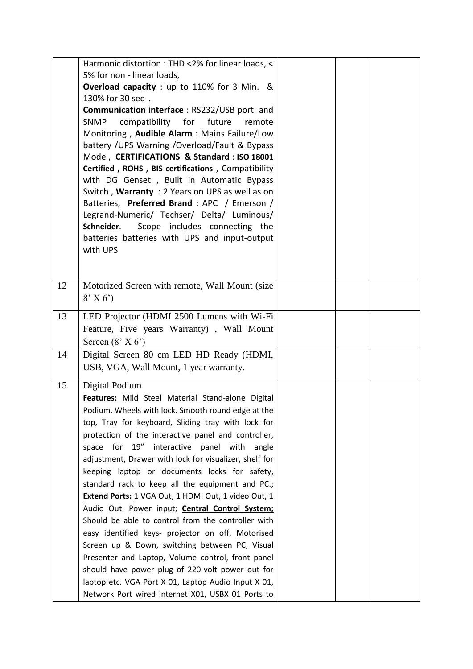|    | Harmonic distortion : THD <2% for linear loads, <                                                |  |  |
|----|--------------------------------------------------------------------------------------------------|--|--|
|    | 5% for non - linear loads,                                                                       |  |  |
|    | Overload capacity : up to 110% for 3 Min. &                                                      |  |  |
|    | 130% for 30 sec.                                                                                 |  |  |
|    | <b>Communication interface: RS232/USB port and</b>                                               |  |  |
|    | compatibility for<br>future<br>SNMP<br>remote                                                    |  |  |
|    | Monitoring, Audible Alarm: Mains Failure/Low                                                     |  |  |
|    | battery / UPS Warning / Overload/Fault & Bypass                                                  |  |  |
|    | Mode, CERTIFICATIONS & Standard: ISO 18001<br>Certified, ROHS, BIS certifications, Compatibility |  |  |
|    | with DG Genset, Built in Automatic Bypass                                                        |  |  |
|    | Switch, Warranty: 2 Years on UPS as well as on                                                   |  |  |
|    | Batteries, Preferred Brand: APC / Emerson /                                                      |  |  |
|    | Legrand-Numeric/ Techser/ Delta/ Luminous/                                                       |  |  |
|    | Scope includes connecting the<br>Schneider.                                                      |  |  |
|    | batteries batteries with UPS and input-output                                                    |  |  |
|    | with UPS                                                                                         |  |  |
|    |                                                                                                  |  |  |
|    |                                                                                                  |  |  |
| 12 | Motorized Screen with remote, Wall Mount (size)                                                  |  |  |
|    | $8'$ X 6')                                                                                       |  |  |
| 13 | LED Projector (HDMI 2500 Lumens with Wi-Fi                                                       |  |  |
|    | Feature, Five years Warranty), Wall Mount                                                        |  |  |
|    | Screen $(8' X 6')$                                                                               |  |  |
| 14 | Digital Screen 80 cm LED HD Ready (HDMI,                                                         |  |  |
|    | USB, VGA, Wall Mount, 1 year warranty.                                                           |  |  |
|    |                                                                                                  |  |  |
| 15 | Digital Podium                                                                                   |  |  |
|    | Features: Mild Steel Material Stand-alone Digital                                                |  |  |
|    | Podium. Wheels with lock. Smooth round edge at the                                               |  |  |
|    | top, Tray for keyboard, Sliding tray with lock for                                               |  |  |
|    | protection of the interactive panel and controller,                                              |  |  |
|    | for 19" interactive panel with<br>space<br>angle                                                 |  |  |
|    | adjustment, Drawer with lock for visualizer, shelf for                                           |  |  |
|    | keeping laptop or documents locks for safety,                                                    |  |  |
|    | standard rack to keep all the equipment and PC.;                                                 |  |  |
|    | Extend Ports: 1 VGA Out, 1 HDMI Out, 1 video Out, 1                                              |  |  |
|    | Audio Out, Power input; Central Control System;                                                  |  |  |
|    | Should be able to control from the controller with                                               |  |  |
|    | easy identified keys- projector on off, Motorised                                                |  |  |
|    | Screen up & Down, switching between PC, Visual                                                   |  |  |
|    | Presenter and Laptop, Volume control, front panel                                                |  |  |
|    | should have power plug of 220-volt power out for                                                 |  |  |
|    | laptop etc. VGA Port X 01, Laptop Audio Input X 01,                                              |  |  |
|    | Network Port wired internet X01, USBX 01 Ports to                                                |  |  |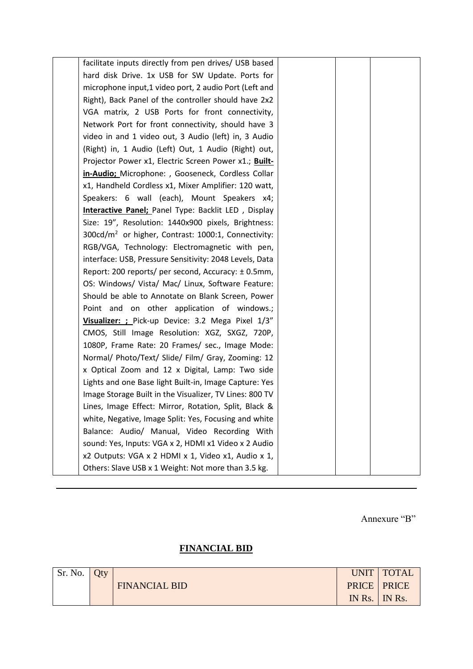| facilitate inputs directly from pen drives/ USB based          |  |  |
|----------------------------------------------------------------|--|--|
| hard disk Drive. 1x USB for SW Update. Ports for               |  |  |
| microphone input,1 video port, 2 audio Port (Left and          |  |  |
| Right), Back Panel of the controller should have 2x2           |  |  |
| VGA matrix, 2 USB Ports for front connectivity,                |  |  |
| Network Port for front connectivity, should have 3             |  |  |
| video in and 1 video out, 3 Audio (left) in, 3 Audio           |  |  |
| (Right) in, 1 Audio (Left) Out, 1 Audio (Right) out,           |  |  |
| Projector Power x1, Electric Screen Power x1.; Built-          |  |  |
| in-Audio; Microphone: , Gooseneck, Cordless Collar             |  |  |
| x1, Handheld Cordless x1, Mixer Amplifier: 120 watt,           |  |  |
| Speakers: 6 wall (each), Mount Speakers x4;                    |  |  |
| Interactive Panel; Panel Type: Backlit LED, Display            |  |  |
| Size: 19", Resolution: 1440x900 pixels, Brightness:            |  |  |
| $300 \text{cd/m}^2$ or higher, Contrast: 1000:1, Connectivity: |  |  |
| RGB/VGA, Technology: Electromagnetic with pen,                 |  |  |
| interface: USB, Pressure Sensitivity: 2048 Levels, Data        |  |  |
| Report: 200 reports/ per second, Accuracy: ±0.5mm,             |  |  |
| OS: Windows/ Vista/ Mac/ Linux, Software Feature:              |  |  |
| Should be able to Annotate on Blank Screen, Power              |  |  |
| Point and on other application of windows.;                    |  |  |
| Visualizer: ; Pick-up Device: 3.2 Mega Pixel 1/3"              |  |  |
| CMOS, Still Image Resolution: XGZ, SXGZ, 720P,                 |  |  |
| 1080P, Frame Rate: 20 Frames/ sec., Image Mode:                |  |  |
| Normal/ Photo/Text/ Slide/ Film/ Gray, Zooming: 12             |  |  |
| x Optical Zoom and 12 x Digital, Lamp: Two side                |  |  |
| Lights and one Base light Built-in, Image Capture: Yes         |  |  |
| Image Storage Built in the Visualizer, TV Lines: 800 TV        |  |  |
| Lines, Image Effect: Mirror, Rotation, Split, Black &          |  |  |
| white, Negative, Image Split: Yes, Focusing and white          |  |  |
| Balance: Audio/ Manual, Video Recording With                   |  |  |
| sound: Yes, Inputs: VGA x 2, HDMI x1 Video x 2 Audio           |  |  |
| x2 Outputs: VGA x 2 HDMI x 1, Video x1, Audio x 1,             |  |  |
| Others: Slave USB x 1 Weight: Not more than 3.5 kg.            |  |  |

Annexure "B"

# **FINANCIAL BID**

| Sr. No. | Oty |                      |        | UNIT   TOTAL         |
|---------|-----|----------------------|--------|----------------------|
|         |     | <b>FINANCIAL BID</b> |        | <b>PRICE   PRICE</b> |
|         |     |                      | IN Rs. | $\parallel$ IN Rs.   |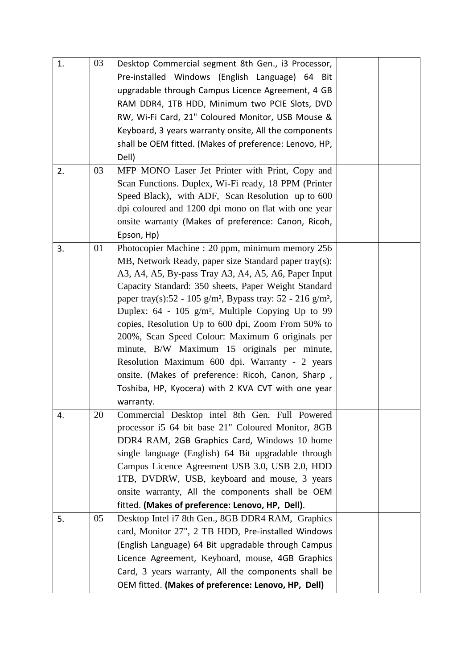| 1. | 03 | Desktop Commercial segment 8th Gen., i3 Processor,                                 |  |
|----|----|------------------------------------------------------------------------------------|--|
|    |    | Pre-installed Windows (English Language) 64 Bit                                    |  |
|    |    | upgradable through Campus Licence Agreement, 4 GB                                  |  |
|    |    | RAM DDR4, 1TB HDD, Minimum two PCIE Slots, DVD                                     |  |
|    |    | RW, Wi-Fi Card, 21" Coloured Monitor, USB Mouse &                                  |  |
|    |    | Keyboard, 3 years warranty onsite, All the components                              |  |
|    |    | shall be OEM fitted. (Makes of preference: Lenovo, HP,                             |  |
|    |    | Dell)                                                                              |  |
| 2. | 03 | MFP MONO Laser Jet Printer with Print, Copy and                                    |  |
|    |    | Scan Functions. Duplex, Wi-Fi ready, 18 PPM (Printer)                              |  |
|    |    | Speed Black), with ADF, Scan Resolution up to 600                                  |  |
|    |    | dpi coloured and 1200 dpi mono on flat with one year                               |  |
|    |    | onsite warranty (Makes of preference: Canon, Ricoh,                                |  |
|    |    | Epson, Hp)                                                                         |  |
| 3. | 01 | Photocopier Machine : 20 ppm, minimum memory 256                                   |  |
|    |    | MB, Network Ready, paper size Standard paper tray(s):                              |  |
|    |    | A3, A4, A5, By-pass Tray A3, A4, A5, A6, Paper Input                               |  |
|    |    | Capacity Standard: 350 sheets, Paper Weight Standard                               |  |
|    |    | paper tray(s):52 - 105 g/m <sup>2</sup> , Bypass tray: 52 - 216 g/m <sup>2</sup> , |  |
|    |    | Duplex: $64 - 105$ g/m <sup>2</sup> , Multiple Copying Up to 99                    |  |
|    |    | copies, Resolution Up to 600 dpi, Zoom From 50% to                                 |  |
|    |    | 200%, Scan Speed Colour: Maximum 6 originals per                                   |  |
|    |    | minute, B/W Maximum 15 originals per minute,                                       |  |
|    |    | Resolution Maximum 600 dpi. Warranty - 2 years                                     |  |
|    |    | onsite. (Makes of preference: Ricoh, Canon, Sharp,                                 |  |
|    |    | Toshiba, HP, Kyocera) with 2 KVA CVT with one year                                 |  |
|    |    | warranty.                                                                          |  |
| 4. | 20 | Commercial Desktop intel 8th Gen. Full Powered                                     |  |
|    |    | processor i5 64 bit base 21" Coloured Monitor, 8GB                                 |  |
|    |    | DDR4 RAM, 2GB Graphics Card, Windows 10 home                                       |  |
|    |    | single language (English) 64 Bit upgradable through                                |  |
|    |    | Campus Licence Agreement USB 3.0, USB 2.0, HDD                                     |  |
|    |    | 1TB, DVDRW, USB, keyboard and mouse, 3 years                                       |  |
|    |    | onsite warranty, All the components shall be OEM                                   |  |
|    |    | fitted. (Makes of preference: Lenovo, HP, Dell).                                   |  |
| 5. | 05 | Desktop Intel i7 8th Gen., 8GB DDR4 RAM, Graphics                                  |  |
|    |    | card, Monitor 27", 2 TB HDD, Pre-installed Windows                                 |  |
|    |    | (English Language) 64 Bit upgradable through Campus                                |  |
|    |    | Licence Agreement, Keyboard, mouse, 4GB Graphics                                   |  |
|    |    | Card, 3 years warranty, All the components shall be                                |  |
|    |    | OEM fitted. (Makes of preference: Lenovo, HP, Dell)                                |  |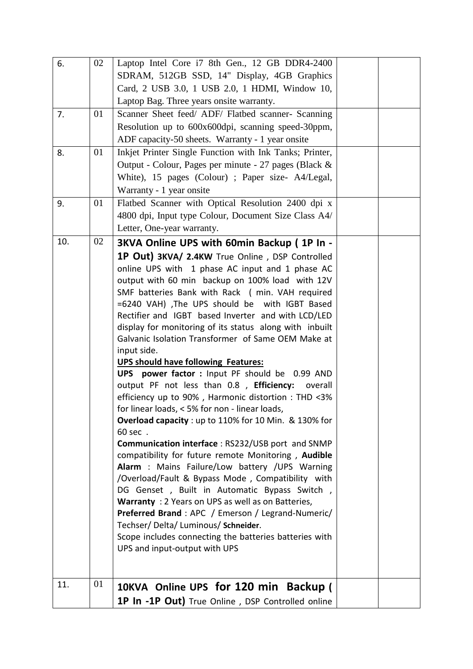| 6.  | 02 | Laptop Intel Core i7 8th Gen., 12 GB DDR4-2400                                              |  |
|-----|----|---------------------------------------------------------------------------------------------|--|
|     |    | SDRAM, 512GB SSD, 14" Display, 4GB Graphics                                                 |  |
|     |    | Card, 2 USB 3.0, 1 USB 2.0, 1 HDMI, Window 10,                                              |  |
|     |    | Laptop Bag. Three years onsite warranty.                                                    |  |
| 7.  | 01 | Scanner Sheet feed/ ADF/ Flatbed scanner- Scanning                                          |  |
|     |    |                                                                                             |  |
|     |    | Resolution up to 600x600dpi, scanning speed-30ppm,                                          |  |
|     |    | ADF capacity-50 sheets. Warranty - 1 year onsite                                            |  |
| 8.  | 01 | Inkjet Printer Single Function with Ink Tanks; Printer,                                     |  |
|     |    | Output - Colour, Pages per minute - 27 pages (Black &                                       |  |
|     |    | White), 15 pages (Colour) ; Paper size- A4/Legal,                                           |  |
|     |    | Warranty - 1 year onsite                                                                    |  |
| 9.  | 01 | Flatbed Scanner with Optical Resolution 2400 dpi x                                          |  |
|     |    | 4800 dpi, Input type Colour, Document Size Class A4/                                        |  |
|     |    | Letter, One-year warranty.                                                                  |  |
| 10. | 02 | 3KVA Online UPS with 60min Backup (1P In -                                                  |  |
|     |    | 1P Out) 3KVA/ 2.4KW True Online, DSP Controlled                                             |  |
|     |    | online UPS with 1 phase AC input and 1 phase AC                                             |  |
|     |    | output with 60 min backup on 100% load with 12V                                             |  |
|     |    | SMF batteries Bank with Rack (min. VAH required                                             |  |
|     |    | =6240 VAH) , The UPS should be with IGBT Based                                              |  |
|     |    | Rectifier and IGBT based Inverter and with LCD/LED                                          |  |
|     |    | display for monitoring of its status along with inbuilt                                     |  |
|     |    | Galvanic Isolation Transformer of Same OEM Make at                                          |  |
|     |    | input side.                                                                                 |  |
|     |    | <b>UPS should have following Features:</b>                                                  |  |
|     |    | UPS power factor : Input PF should be 0.99 AND                                              |  |
|     |    | output PF not less than 0.8, Efficiency:<br>overall                                         |  |
|     |    | efficiency up to 90%, Harmonic distortion: THD <3%                                          |  |
|     |    | for linear loads, < 5% for non - linear loads,                                              |  |
|     |    | Overload capacity : up to 110% for 10 Min. & 130% for                                       |  |
|     |    | 60 sec .                                                                                    |  |
|     |    | Communication interface: RS232/USB port and SNMP                                            |  |
|     |    | compatibility for future remote Monitoring, Audible                                         |  |
|     |    | Alarm : Mains Failure/Low battery /UPS Warning                                              |  |
|     |    | /Overload/Fault & Bypass Mode, Compatibility with                                           |  |
|     |    | DG Genset, Built in Automatic Bypass Switch,                                                |  |
|     |    | Warranty: 2 Years on UPS as well as on Batteries,                                           |  |
|     |    | <b>Preferred Brand</b> : APC / Emerson / Legrand-Numeric/                                   |  |
|     |    | Techser/Delta/Luminous/Schneider.<br>Scope includes connecting the batteries batteries with |  |
|     |    | UPS and input-output with UPS                                                               |  |
|     |    |                                                                                             |  |
|     |    |                                                                                             |  |
| 11. | 01 |                                                                                             |  |
|     |    | 10KVA Online UPS for 120 min Backup (                                                       |  |
|     |    | 1P In -1P Out) True Online, DSP Controlled online                                           |  |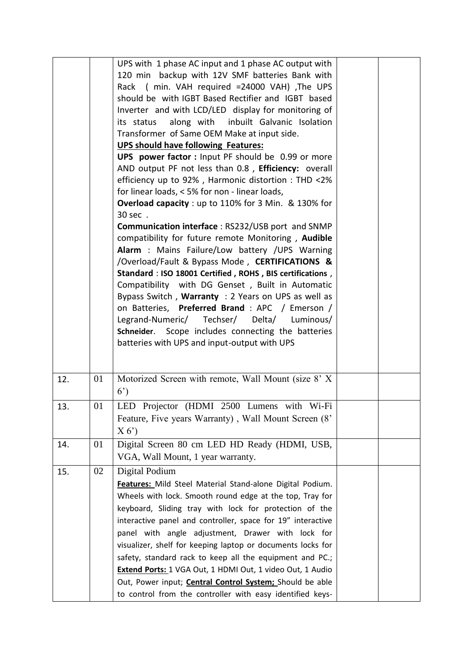|     |    | UPS with 1 phase AC input and 1 phase AC output with<br>120 min backup with 12V SMF batteries Bank with<br>Rack ( min. VAH required =24000 VAH), The UPS<br>should be with IGBT Based Rectifier and IGBT based<br>Inverter and with LCD/LED display for monitoring of<br>along with inbuilt Galvanic Isolation<br>its status<br>Transformer of Same OEM Make at input side.<br>UPS should have following Features:<br>UPS power factor : Input PF should be 0.99 or more<br>AND output PF not less than 0.8, Efficiency: overall<br>efficiency up to 92%, Harmonic distortion: THD <2%<br>for linear loads, < 5% for non - linear loads,<br>Overload capacity : up to 110% for 3 Min. & 130% for<br>30 sec .<br><b>Communication interface: RS232/USB port and SNMP</b><br>compatibility for future remote Monitoring, Audible<br>Alarm : Mains Failure/Low battery /UPS Warning<br>/Overload/Fault & Bypass Mode, CERTIFICATIONS &<br>Standard : ISO 18001 Certified, ROHS, BIS certifications,<br>Compatibility with DG Genset, Built in Automatic<br>Bypass Switch, Warranty: 2 Years on UPS as well as<br>on Batteries, Preferred Brand : APC / Emerson /<br>Legrand-Numeric/ Techser/ Delta/<br>Luminous/<br>Schneider. Scope includes connecting the batteries<br>batteries with UPS and input-output with UPS |  |
|-----|----|----------------------------------------------------------------------------------------------------------------------------------------------------------------------------------------------------------------------------------------------------------------------------------------------------------------------------------------------------------------------------------------------------------------------------------------------------------------------------------------------------------------------------------------------------------------------------------------------------------------------------------------------------------------------------------------------------------------------------------------------------------------------------------------------------------------------------------------------------------------------------------------------------------------------------------------------------------------------------------------------------------------------------------------------------------------------------------------------------------------------------------------------------------------------------------------------------------------------------------------------------------------------------------------------------------------------|--|
|     |    |                                                                                                                                                                                                                                                                                                                                                                                                                                                                                                                                                                                                                                                                                                                                                                                                                                                                                                                                                                                                                                                                                                                                                                                                                                                                                                                      |  |
| 12. | 01 | Motorized Screen with remote, Wall Mount (size 8' X<br>$6^{\prime})$                                                                                                                                                                                                                                                                                                                                                                                                                                                                                                                                                                                                                                                                                                                                                                                                                                                                                                                                                                                                                                                                                                                                                                                                                                                 |  |
| 13. | 01 | LED Projector (HDMI 2500 Lumens with Wi-Fi<br>Feature, Five years Warranty), Wall Mount Screen (8'<br>X(6)                                                                                                                                                                                                                                                                                                                                                                                                                                                                                                                                                                                                                                                                                                                                                                                                                                                                                                                                                                                                                                                                                                                                                                                                           |  |
| 14. | 01 | Digital Screen 80 cm LED HD Ready (HDMI, USB,<br>VGA, Wall Mount, 1 year warranty.                                                                                                                                                                                                                                                                                                                                                                                                                                                                                                                                                                                                                                                                                                                                                                                                                                                                                                                                                                                                                                                                                                                                                                                                                                   |  |
| 15. | 02 | Digital Podium<br>Features: Mild Steel Material Stand-alone Digital Podium.<br>Wheels with lock. Smooth round edge at the top, Tray for<br>keyboard, Sliding tray with lock for protection of the<br>interactive panel and controller, space for 19" interactive<br>panel with angle adjustment, Drawer with lock for<br>visualizer, shelf for keeping laptop or documents locks for<br>safety, standard rack to keep all the equipment and PC.;<br>Extend Ports: 1 VGA Out, 1 HDMI Out, 1 video Out, 1 Audio<br>Out, Power input; Central Control System; Should be able<br>to control from the controller with easy identified keys-                                                                                                                                                                                                                                                                                                                                                                                                                                                                                                                                                                                                                                                                               |  |